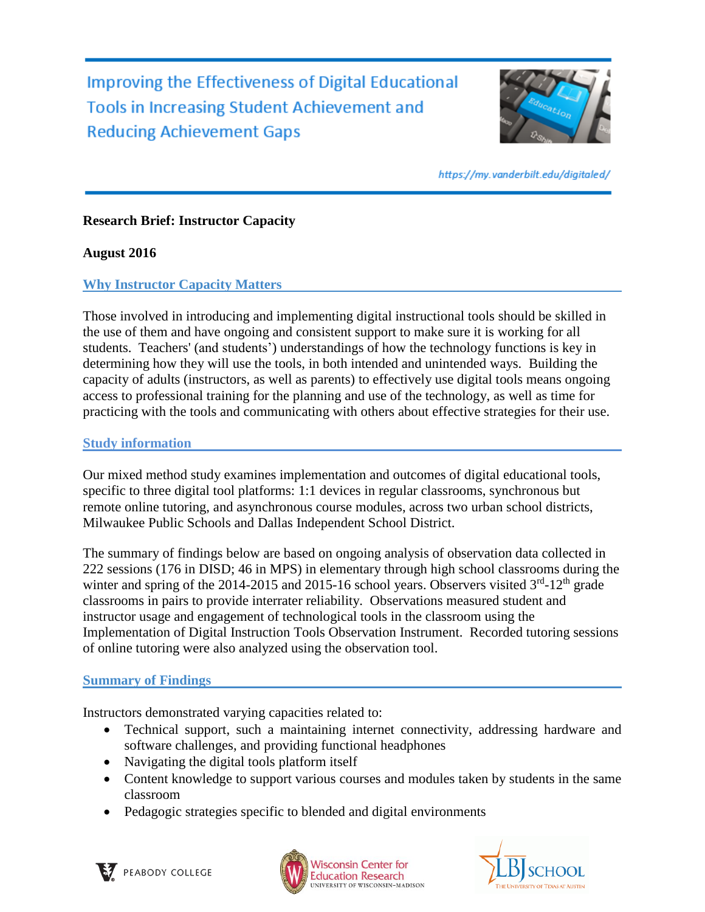Improving the Effectiveness of Digital Educational **Tools in Increasing Student Achievement and Reducing Achievement Gaps** 



https://my.vanderbilt.edu/digitaled/

# **Research Brief: Instructor Capacity**

#### **August 2016**

### **Why Instructor Capacity Matters**

Those involved in introducing and implementing digital instructional tools should be skilled in the use of them and have ongoing and consistent support to make sure it is working for all students. Teachers' (and students') understandings of how the technology functions is key in determining how they will use the tools, in both intended and unintended ways. Building the capacity of adults (instructors, as well as parents) to effectively use digital tools means ongoing access to professional training for the planning and use of the technology, as well as time for practicing with the tools and communicating with others about effective strategies for their use.

#### **Study information**

Our mixed method study examines implementation and outcomes of digital educational tools, specific to three digital tool platforms: 1:1 devices in regular classrooms, synchronous but remote online tutoring, and asynchronous course modules, across two urban school districts, Milwaukee Public Schools and Dallas Independent School District.

The summary of findings below are based on ongoing analysis of observation data collected in 222 sessions (176 in DISD; 46 in MPS) in elementary through high school classrooms during the winter and spring of the 2014-2015 and 2015-16 school years. Observers visited  $3<sup>rd</sup>$ -12<sup>th</sup> grade classrooms in pairs to provide interrater reliability. Observations measured student and instructor usage and engagement of technological tools in the classroom using the Implementation of Digital Instruction Tools Observation Instrument. Recorded tutoring sessions of online tutoring were also analyzed using the observation tool.

#### **Summary of Findings**

Instructors demonstrated varying capacities related to:

- Technical support, such a maintaining internet connectivity, addressing hardware and software challenges, and providing functional headphones
- Navigating the digital tools platform itself
- Content knowledge to support various courses and modules taken by students in the same classroom
- Pedagogic strategies specific to blended and digital environments